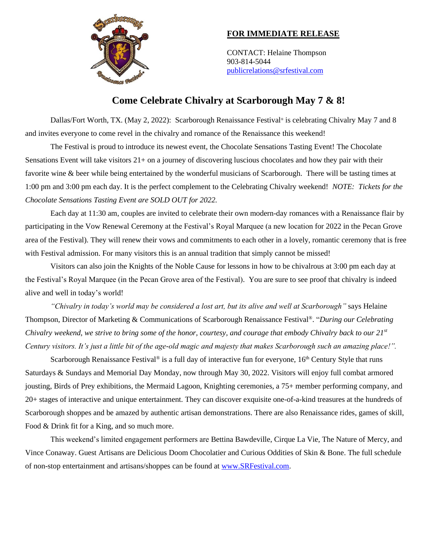

## **FOR IMMEDIATE RELEASE**

CONTACT: Helaine Thompson 903-814-5044 [publicrelations@srfestival.com](mailto:publicrelations@srfestival.com)

## **Come Celebrate Chivalry at Scarborough May 7 & 8!**

Dallas/Fort Worth, TX. (May 2, 2022): Scarborough Renaissance Festival<sup>®</sup> is celebrating Chivalry May 7 and 8 and invites everyone to come revel in the chivalry and romance of the Renaissance this weekend!

The Festival is proud to introduce its newest event, the Chocolate Sensations Tasting Event! The Chocolate Sensations Event will take visitors 21+ on a journey of discovering luscious chocolates and how they pair with their favorite wine & beer while being entertained by the wonderful musicians of Scarborough. There will be tasting times at 1:00 pm and 3:00 pm each day. It is the perfect complement to the Celebrating Chivalry weekend! *NOTE: Tickets for the Chocolate Sensations Tasting Event are SOLD OUT for 2022.* 

Each day at 11:30 am, couples are invited to celebrate their own modern-day romances with a Renaissance flair by participating in the Vow Renewal Ceremony at the Festival's Royal Marquee (a new location for 2022 in the Pecan Grove area of the Festival). They will renew their vows and commitments to each other in a lovely, romantic ceremony that is free with Festival admission. For many visitors this is an annual tradition that simply cannot be missed!

Visitors can also join the Knights of the Noble Cause for lessons in how to be chivalrous at 3:00 pm each day at the Festival's Royal Marquee (in the Pecan Grove area of the Festival). You are sure to see proof that chivalry is indeed alive and well in today's world!

*"Chivalry in today's world may be considered a lost art, but its alive and well at Scarborough"* says Helaine Thompson, Director of Marketing & Communications of Scarborough Renaissance Festival®. "*During our Celebrating Chivalry weekend*, *we strive to bring some of the honor, courtesy, and courage that embody Chivalry back to our 21st Century visitors. It's just a little bit of the age-old magic and majesty that makes Scarborough such an amazing place!".* 

Scarborough Renaissance Festival<sup>®</sup> is a full day of interactive fun for everyone,  $16<sup>th</sup>$  Century Style that runs Saturdays & Sundays and Memorial Day Monday, now through May 30, 2022. Visitors will enjoy full combat armored jousting, Birds of Prey exhibitions, the Mermaid Lagoon, Knighting ceremonies, a 75+ member performing company, and 20+ stages of interactive and unique entertainment. They can discover exquisite one-of-a-kind treasures at the hundreds of Scarborough shoppes and be amazed by authentic artisan demonstrations. There are also Renaissance rides, games of skill, Food & Drink fit for a King, and so much more.

This weekend's limited engagement performers are Bettina Bawdeville, Cirque La Vie, The Nature of Mercy, and Vince Conaway. Guest Artisans are Delicious Doom Chocolatier and Curious Oddities of Skin & Bone. The full schedule of non-stop entertainment and artisans/shoppes can be found at [www.SRFestival.com.](http://www.srfestival.com/)